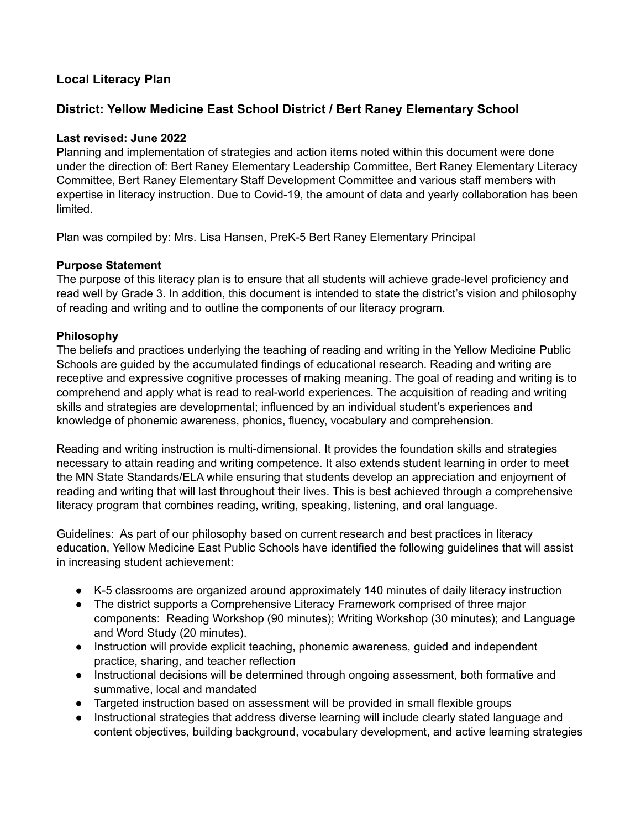# **Local Literacy Plan**

# **District: Yellow Medicine East School District / Bert Raney Elementary School**

# **Last revised: June 2022**

Planning and implementation of strategies and action items noted within this document were done under the direction of: Bert Raney Elementary Leadership Committee, Bert Raney Elementary Literacy Committee, Bert Raney Elementary Staff Development Committee and various staff members with expertise in literacy instruction. Due to Covid-19, the amount of data and yearly collaboration has been limited.

Plan was compiled by: Mrs. Lisa Hansen, PreK-5 Bert Raney Elementary Principal

# **Purpose Statement**

The purpose of this literacy plan is to ensure that all students will achieve grade-level proficiency and read well by Grade 3. In addition, this document is intended to state the district's vision and philosophy of reading and writing and to outline the components of our literacy program.

# **Philosophy**

The beliefs and practices underlying the teaching of reading and writing in the Yellow Medicine Public Schools are guided by the accumulated findings of educational research. Reading and writing are receptive and expressive cognitive processes of making meaning. The goal of reading and writing is to comprehend and apply what is read to real-world experiences. The acquisition of reading and writing skills and strategies are developmental; influenced by an individual student's experiences and knowledge of phonemic awareness, phonics, fluency, vocabulary and comprehension.

Reading and writing instruction is multi-dimensional. It provides the foundation skills and strategies necessary to attain reading and writing competence. It also extends student learning in order to meet the MN State Standards/ELA while ensuring that students develop an appreciation and enjoyment of reading and writing that will last throughout their lives. This is best achieved through a comprehensive literacy program that combines reading, writing, speaking, listening, and oral language.

Guidelines: As part of our philosophy based on current research and best practices in literacy education, Yellow Medicine East Public Schools have identified the following guidelines that will assist in increasing student achievement:

- K-5 classrooms are organized around approximately 140 minutes of daily literacy instruction
- The district supports a Comprehensive Literacy Framework comprised of three major components: Reading Workshop (90 minutes); Writing Workshop (30 minutes); and Language and Word Study (20 minutes).
- Instruction will provide explicit teaching, phonemic awareness, guided and independent practice, sharing, and teacher reflection
- Instructional decisions will be determined through ongoing assessment, both formative and summative, local and mandated
- Targeted instruction based on assessment will be provided in small flexible groups
- Instructional strategies that address diverse learning will include clearly stated language and content objectives, building background, vocabulary development, and active learning strategies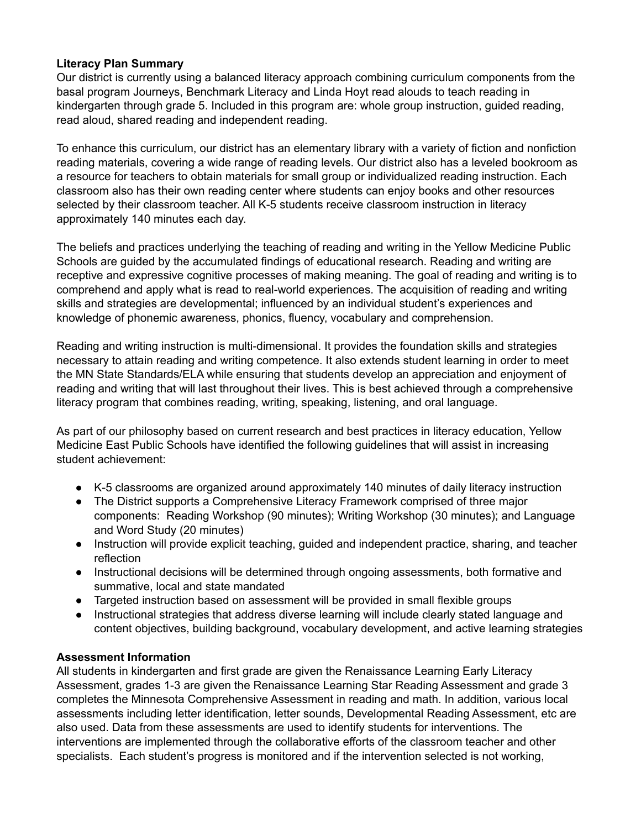# **Literacy Plan Summary**

Our district is currently using a balanced literacy approach combining curriculum components from the basal program Journeys, Benchmark Literacy and Linda Hoyt read alouds to teach reading in kindergarten through grade 5. Included in this program are: whole group instruction, guided reading, read aloud, shared reading and independent reading.

To enhance this curriculum, our district has an elementary library with a variety of fiction and nonfiction reading materials, covering a wide range of reading levels. Our district also has a leveled bookroom as a resource for teachers to obtain materials for small group or individualized reading instruction. Each classroom also has their own reading center where students can enjoy books and other resources selected by their classroom teacher. All K-5 students receive classroom instruction in literacy approximately 140 minutes each day.

The beliefs and practices underlying the teaching of reading and writing in the Yellow Medicine Public Schools are guided by the accumulated findings of educational research. Reading and writing are receptive and expressive cognitive processes of making meaning. The goal of reading and writing is to comprehend and apply what is read to real-world experiences. The acquisition of reading and writing skills and strategies are developmental; influenced by an individual student's experiences and knowledge of phonemic awareness, phonics, fluency, vocabulary and comprehension.

Reading and writing instruction is multi-dimensional. It provides the foundation skills and strategies necessary to attain reading and writing competence. It also extends student learning in order to meet the MN State Standards/ELA while ensuring that students develop an appreciation and enjoyment of reading and writing that will last throughout their lives. This is best achieved through a comprehensive literacy program that combines reading, writing, speaking, listening, and oral language.

As part of our philosophy based on current research and best practices in literacy education, Yellow Medicine East Public Schools have identified the following guidelines that will assist in increasing student achievement:

- K-5 classrooms are organized around approximately 140 minutes of daily literacy instruction
- The District supports a Comprehensive Literacy Framework comprised of three major components: Reading Workshop (90 minutes); Writing Workshop (30 minutes); and Language and Word Study (20 minutes)
- Instruction will provide explicit teaching, guided and independent practice, sharing, and teacher reflection
- Instructional decisions will be determined through ongoing assessments, both formative and summative, local and state mandated
- Targeted instruction based on assessment will be provided in small flexible groups
- Instructional strategies that address diverse learning will include clearly stated language and content objectives, building background, vocabulary development, and active learning strategies

# **Assessment Information**

All students in kindergarten and first grade are given the Renaissance Learning Early Literacy Assessment, grades 1-3 are given the Renaissance Learning Star Reading Assessment and grade 3 completes the Minnesota Comprehensive Assessment in reading and math. In addition, various local assessments including letter identification, letter sounds, Developmental Reading Assessment, etc are also used. Data from these assessments are used to identify students for interventions. The interventions are implemented through the collaborative efforts of the classroom teacher and other specialists. Each student's progress is monitored and if the intervention selected is not working,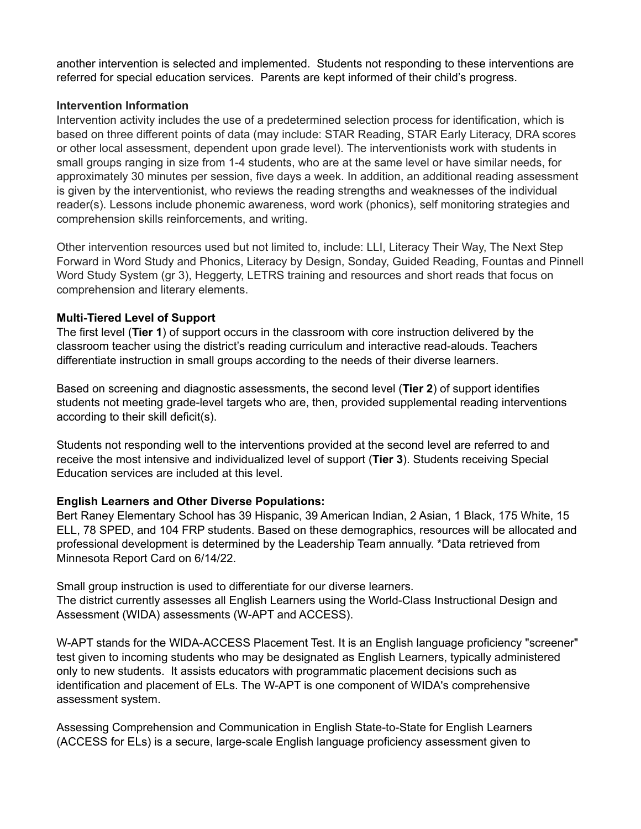another intervention is selected and implemented. Students not responding to these interventions are referred for special education services. Parents are kept informed of their child's progress.

# **Intervention Information**

Intervention activity includes the use of a predetermined selection process for identification, which is based on three different points of data (may include: STAR Reading, STAR Early Literacy, DRA scores or other local assessment, dependent upon grade level). The interventionists work with students in small groups ranging in size from 1-4 students, who are at the same level or have similar needs, for approximately 30 minutes per session, five days a week. In addition, an additional reading assessment is given by the interventionist, who reviews the reading strengths and weaknesses of the individual reader(s). Lessons include phonemic awareness, word work (phonics), self monitoring strategies and comprehension skills reinforcements, and writing.

Other intervention resources used but not limited to, include: LLI, Literacy Their Way, The Next Step Forward in Word Study and Phonics, Literacy by Design, Sonday, Guided Reading, Fountas and Pinnell Word Study System (gr 3), Heggerty, LETRS training and resources and short reads that focus on comprehension and literary elements.

# **Multi-Tiered Level of Support**

The first level (**Tier 1**) of support occurs in the classroom with core instruction delivered by the classroom teacher using the district's reading curriculum and interactive read-alouds. Teachers differentiate instruction in small groups according to the needs of their diverse learners.

Based on screening and diagnostic assessments, the second level (**Tier 2**) of support identifies students not meeting grade-level targets who are, then, provided supplemental reading interventions according to their skill deficit(s).

Students not responding well to the interventions provided at the second level are referred to and receive the most intensive and individualized level of support (**Tier 3**). Students receiving Special Education services are included at this level.

# **English Learners and Other Diverse Populations:**

Bert Raney Elementary School has 39 Hispanic, 39 American Indian, 2 Asian, 1 Black, 175 White, 15 ELL, 78 SPED, and 104 FRP students. Based on these demographics, resources will be allocated and professional development is determined by the Leadership Team annually. \*Data retrieved from Minnesota Report Card on 6/14/22.

Small group instruction is used to differentiate for our diverse learners. The district currently assesses all English Learners using the World-Class Instructional Design and Assessment (WIDA) assessments (W-APT and ACCESS).

W-APT stands for the WIDA-ACCESS Placement Test. It is an English language proficiency "screener" test given to incoming students who may be designated as English Learners, typically administered only to new students. It assists educators with programmatic placement decisions such as identification and placement of ELs. The W-APT is one component of WIDA's comprehensive assessment system.

Assessing Comprehension and Communication in English State-to-State for English Learners (ACCESS for ELs) is a secure, large-scale English language proficiency assessment given to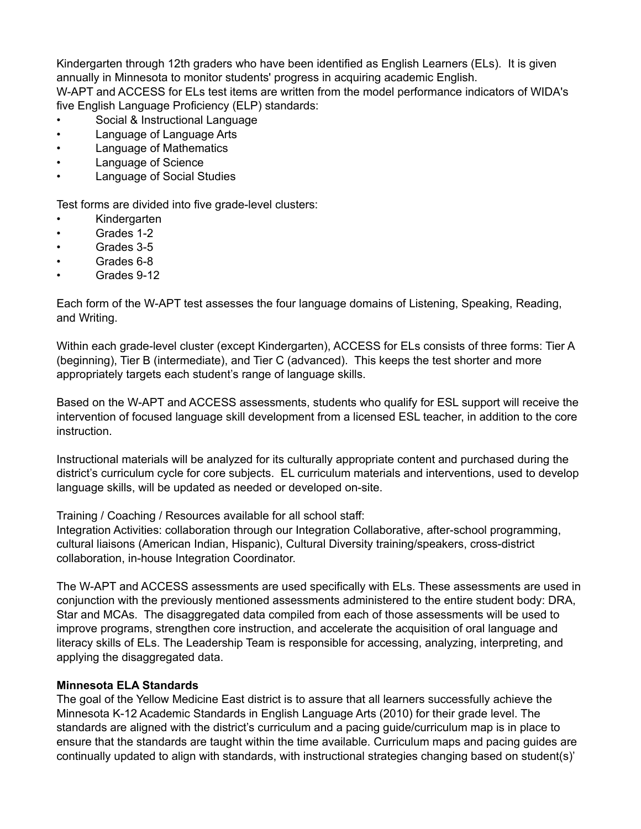Kindergarten through 12th graders who have been identified as English Learners (ELs). It is given annually in Minnesota to monitor students' progress in acquiring academic English. W-APT and ACCESS for ELs test items are written from the model performance indicators of WIDA's five English Language Proficiency (ELP) standards:

- Social & Instructional Language
- Language of Language Arts
- Language of Mathematics
- Language of Science
- Language of Social Studies

Test forms are divided into five grade-level clusters:

- Kindergarten
- Grades 1-2
- Grades 3-5
- Grades 6-8
- Grades 9-12

Each form of the W-APT test assesses the four language domains of Listening, Speaking, Reading, and Writing.

Within each grade-level cluster (except Kindergarten), ACCESS for ELs consists of three forms: Tier A (beginning), Tier B (intermediate), and Tier C (advanced). This keeps the test shorter and more appropriately targets each student's range of language skills.

Based on the W-APT and ACCESS assessments, students who qualify for ESL support will receive the intervention of focused language skill development from a licensed ESL teacher, in addition to the core instruction.

Instructional materials will be analyzed for its culturally appropriate content and purchased during the district's curriculum cycle for core subjects. EL curriculum materials and interventions, used to develop language skills, will be updated as needed or developed on-site.

Training / Coaching / Resources available for all school staff:

Integration Activities: collaboration through our Integration Collaborative, after-school programming, cultural liaisons (American Indian, Hispanic), Cultural Diversity training/speakers, cross-district collaboration, in-house Integration Coordinator.

The W-APT and ACCESS assessments are used specifically with ELs. These assessments are used in conjunction with the previously mentioned assessments administered to the entire student body: DRA, Star and MCAs. The disaggregated data compiled from each of those assessments will be used to improve programs, strengthen core instruction, and accelerate the acquisition of oral language and literacy skills of ELs. The Leadership Team is responsible for accessing, analyzing, interpreting, and applying the disaggregated data.

# **Minnesota ELA Standards**

The goal of the Yellow Medicine East district is to assure that all learners successfully achieve the Minnesota K-12 Academic Standards in English Language Arts (2010) for their grade level. The standards are aligned with the district's curriculum and a pacing guide/curriculum map is in place to ensure that the standards are taught within the time available. Curriculum maps and pacing guides are continually updated to align with standards, with instructional strategies changing based on student(s)'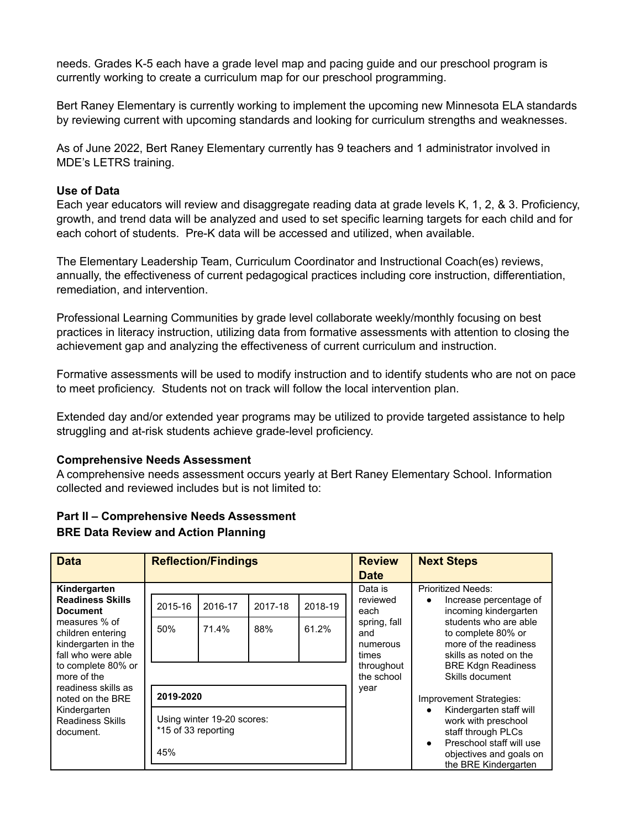needs. Grades K-5 each have a grade level map and pacing guide and our preschool program is currently working to create a curriculum map for our preschool programming.

Bert Raney Elementary is currently working to implement the upcoming new Minnesota ELA standards by reviewing current with upcoming standards and looking for curriculum strengths and weaknesses.

As of June 2022, Bert Raney Elementary currently has 9 teachers and 1 administrator involved in MDE's LETRS training.

# **Use of Data**

Each year educators will review and disaggregate reading data at grade levels K, 1, 2, & 3. Proficiency, growth, and trend data will be analyzed and used to set specific learning targets for each child and for each cohort of students. Pre-K data will be accessed and utilized, when available.

The Elementary Leadership Team, Curriculum Coordinator and Instructional Coach(es) reviews, annually, the effectiveness of current pedagogical practices including core instruction, differentiation, remediation, and intervention.

Professional Learning Communities by grade level collaborate weekly/monthly focusing on best practices in literacy instruction, utilizing data from formative assessments with attention to closing the achievement gap and analyzing the effectiveness of current curriculum and instruction.

Formative assessments will be used to modify instruction and to identify students who are not on pace to meet proficiency. Students not on track will follow the local intervention plan.

Extended day and/or extended year programs may be utilized to provide targeted assistance to help struggling and at-risk students achieve grade-level proficiency.

#### **Comprehensive Needs Assessment**

A comprehensive needs assessment occurs yearly at Bert Raney Elementary School. Information collected and reviewed includes but is not limited to:

# **Part II – Comprehensive Needs Assessment**

# **BRE Data Review and Action Planning**

| <b>Data</b>                                                                                                                                                                                                                                                                           | <b>Reflection/Findings</b>                         |                                                |                |                                                                                          | <b>Review</b><br><b>Date</b>                                                                                | <b>Next Steps</b>                                                                                                                                                                                                                                                                                                                                           |
|---------------------------------------------------------------------------------------------------------------------------------------------------------------------------------------------------------------------------------------------------------------------------------------|----------------------------------------------------|------------------------------------------------|----------------|------------------------------------------------------------------------------------------|-------------------------------------------------------------------------------------------------------------|-------------------------------------------------------------------------------------------------------------------------------------------------------------------------------------------------------------------------------------------------------------------------------------------------------------------------------------------------------------|
| Kindergarten<br><b>Readiness Skills</b><br><b>Document</b><br>measures % of<br>children entering<br>kindergarten in the<br>fall who were able<br>to complete 80% or<br>more of the<br>readiness skills as<br>noted on the BRE<br>Kindergarten<br><b>Readiness Skills</b><br>document. | 2015-16<br>50%<br>2019-2020<br>*15 of 33 reporting | 2016-17<br>71.4%<br>Using winter 19-20 scores: | 2017-18<br>88% | 2018-19<br>61.2%                                                                         | Data is<br>reviewed<br>each<br>spring, fall<br>and<br>numerous<br>times<br>throughout<br>the school<br>year | <b>Prioritized Needs:</b><br>Increase percentage of<br>$\bullet$<br>incoming kindergarten<br>students who are able<br>to complete 80% or<br>more of the readiness<br>skills as noted on the<br><b>BRE Kdgn Readiness</b><br>Skills document<br>Improvement Strategies:<br>Kindergarten staff will<br>$\bullet$<br>work with preschool<br>staff through PLCs |
|                                                                                                                                                                                                                                                                                       | 45%                                                |                                                |                | Preschool staff will use<br>$\bullet$<br>objectives and goals on<br>the BRE Kindergarten |                                                                                                             |                                                                                                                                                                                                                                                                                                                                                             |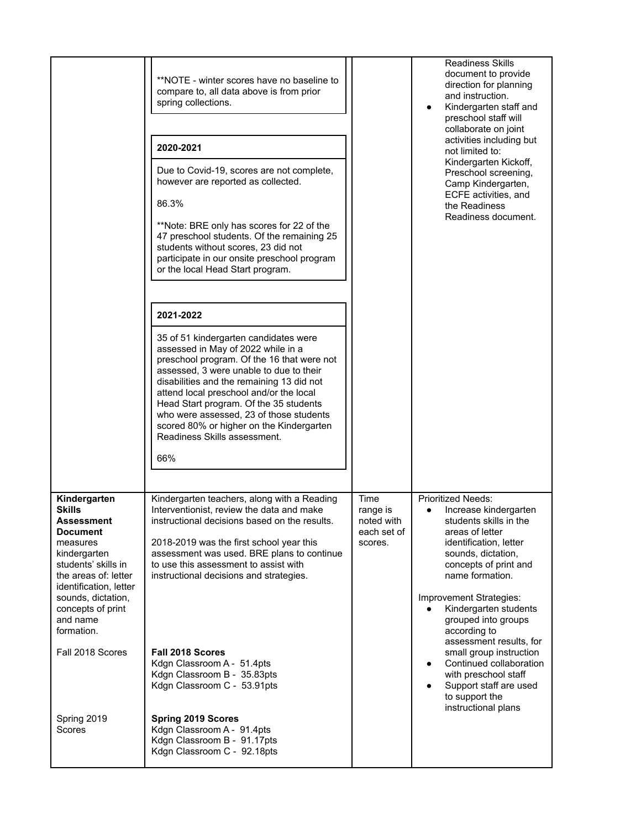|                                                                                                                                                                     | **NOTE - winter scores have no baseline to<br>compare to, all data above is from prior<br>spring collections.<br>2020-2021<br>Due to Covid-19, scores are not complete,<br>however are reported as collected.<br>86.3%<br>**Note: BRE only has scores for 22 of the<br>47 preschool students. Of the remaining 25<br>students without scores, 23 did not<br>participate in our onsite preschool program<br>or the local Head Start program. |                                                          | <b>Readiness Skills</b><br>document to provide<br>direction for planning<br>and instruction.<br>Kindergarten staff and<br>preschool staff will<br>collaborate on joint<br>activities including but<br>not limited to:<br>Kindergarten Kickoff,<br>Preschool screening,<br>Camp Kindergarten,<br>ECFE activities, and<br>the Readiness<br>Readiness document. |
|---------------------------------------------------------------------------------------------------------------------------------------------------------------------|---------------------------------------------------------------------------------------------------------------------------------------------------------------------------------------------------------------------------------------------------------------------------------------------------------------------------------------------------------------------------------------------------------------------------------------------|----------------------------------------------------------|--------------------------------------------------------------------------------------------------------------------------------------------------------------------------------------------------------------------------------------------------------------------------------------------------------------------------------------------------------------|
|                                                                                                                                                                     | 2021-2022                                                                                                                                                                                                                                                                                                                                                                                                                                   |                                                          |                                                                                                                                                                                                                                                                                                                                                              |
|                                                                                                                                                                     | 35 of 51 kindergarten candidates were<br>assessed in May of 2022 while in a<br>preschool program. Of the 16 that were not<br>assessed, 3 were unable to due to their<br>disabilities and the remaining 13 did not<br>attend local preschool and/or the local<br>Head Start program. Of the 35 students<br>who were assessed, 23 of those students<br>scored 80% or higher on the Kindergarten<br>Readiness Skills assessment.<br>66%        |                                                          |                                                                                                                                                                                                                                                                                                                                                              |
| Kindergarten<br><b>Skills</b><br>Assessment<br><b>Document</b><br>measures<br>kindergarten<br>students' skills in<br>the areas of: letter<br>identification, letter | Kindergarten teachers, along with a Reading<br>Interventionist, review the data and make<br>instructional decisions based on the results.<br>2018-2019 was the first school year this<br>assessment was used. BRE plans to continue<br>to use this assessment to assist with<br>instructional decisions and strategies.                                                                                                                     | Time<br>range is<br>noted with<br>each set of<br>scores. | <b>Prioritized Needs:</b><br>Increase kindergarten<br>٠<br>students skills in the<br>areas of letter<br>identification, letter<br>sounds, dictation,<br>concepts of print and<br>name formation.                                                                                                                                                             |
| sounds, dictation,<br>concepts of print<br>and name<br>formation.                                                                                                   |                                                                                                                                                                                                                                                                                                                                                                                                                                             |                                                          | Improvement Strategies:<br>Kindergarten students<br>grouped into groups<br>according to                                                                                                                                                                                                                                                                      |
| Fall 2018 Scores                                                                                                                                                    | Fall 2018 Scores<br>Kdgn Classroom A - 51.4pts<br>Kdgn Classroom B - 35.83pts<br>Kdgn Classroom C - 53.91pts                                                                                                                                                                                                                                                                                                                                |                                                          | assessment results, for<br>small group instruction<br>Continued collaboration<br>$\bullet$<br>with preschool staff<br>Support staff are used<br>to support the<br>instructional plans                                                                                                                                                                        |
| Spring 2019<br>Scores                                                                                                                                               | <b>Spring 2019 Scores</b><br>Kdgn Classroom A - 91.4pts<br>Kdgn Classroom B - 91.17pts<br>Kdgn Classroom C - 92.18pts                                                                                                                                                                                                                                                                                                                       |                                                          |                                                                                                                                                                                                                                                                                                                                                              |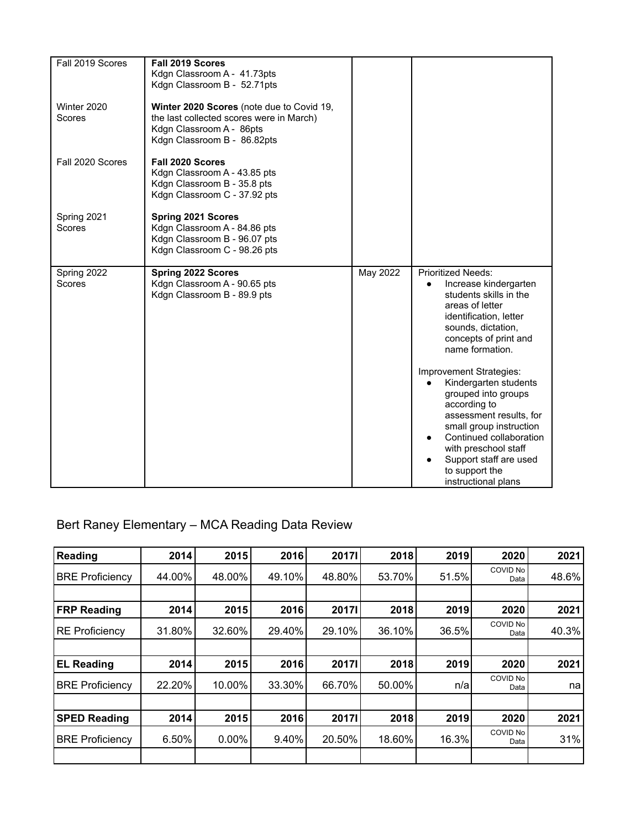| Fall 2019 Scores      | Fall 2019 Scores<br>Kdgn Classroom A - 41.73pts<br>Kdgn Classroom B - 52.71pts                                                                   |          |                                                                                                                                                                                                                                                                                                                                                                                                                                                                                              |
|-----------------------|--------------------------------------------------------------------------------------------------------------------------------------------------|----------|----------------------------------------------------------------------------------------------------------------------------------------------------------------------------------------------------------------------------------------------------------------------------------------------------------------------------------------------------------------------------------------------------------------------------------------------------------------------------------------------|
| Winter 2020<br>Scores | Winter 2020 Scores (note due to Covid 19,<br>the last collected scores were in March)<br>Kdgn Classroom A - 86pts<br>Kdgn Classroom B - 86.82pts |          |                                                                                                                                                                                                                                                                                                                                                                                                                                                                                              |
| Fall 2020 Scores      | Fall 2020 Scores<br>Kdgn Classroom A - 43.85 pts<br>Kdgn Classroom B - 35.8 pts<br>Kdgn Classroom C - 37.92 pts                                  |          |                                                                                                                                                                                                                                                                                                                                                                                                                                                                                              |
| Spring 2021<br>Scores | <b>Spring 2021 Scores</b><br>Kdgn Classroom A - 84.86 pts<br>Kdgn Classroom B - 96.07 pts<br>Kdgn Classroom C - 98.26 pts                        |          |                                                                                                                                                                                                                                                                                                                                                                                                                                                                                              |
| Spring 2022<br>Scores | <b>Spring 2022 Scores</b><br>Kdgn Classroom A - 90.65 pts<br>Kdgn Classroom B - 89.9 pts                                                         | May 2022 | <b>Prioritized Needs:</b><br>Increase kindergarten<br>$\bullet$<br>students skills in the<br>areas of letter<br>identification, letter<br>sounds, dictation,<br>concepts of print and<br>name formation.<br>Improvement Strategies:<br>Kindergarten students<br>grouped into groups<br>according to<br>assessment results, for<br>small group instruction<br>Continued collaboration<br>$\bullet$<br>with preschool staff<br>Support staff are used<br>to support the<br>instructional plans |

# Bert Raney Elementary – MCA Reading Data Review

| Reading                | 2014   | 2015     | 2016     | <b>2017I</b> | 2018   | 2019  | 2020             | 2021  |
|------------------------|--------|----------|----------|--------------|--------|-------|------------------|-------|
| <b>BRE Proficiency</b> | 44.00% | 48.00%   | 49.10%   | 48.80%       | 53.70% | 51.5% | COVID No<br>Data | 48.6% |
|                        |        |          |          |              |        |       |                  |       |
| <b>FRP Reading</b>     | 2014   | 2015     | 2016     | <b>2017I</b> | 2018   | 2019  | 2020             | 2021  |
| <b>RE Proficiency</b>  | 31.80% | 32.60%   | 29.40%   | 29.10%       | 36.10% | 36.5% | COVID No<br>Data | 40.3% |
|                        |        |          |          |              |        |       |                  |       |
| <b>EL Reading</b>      | 2014   | 2015     | 2016     | <b>2017I</b> | 2018   | 2019  | 2020             | 2021  |
| <b>BRE Proficiency</b> | 22.20% | 10.00%   | 33.30%   | 66.70%       | 50.00% | n/a   | COVID No<br>Data | na    |
|                        |        |          |          |              |        |       |                  |       |
| <b>SPED Reading</b>    | 2014   | 2015     | 2016     | <b>2017I</b> | 2018   | 2019  | 2020             | 2021  |
| <b>BRE Proficiency</b> | 6.50%  | $0.00\%$ | $9.40\%$ | 20.50%       | 18.60% | 16.3% | COVID No<br>Data | 31%   |
|                        |        |          |          |              |        |       |                  |       |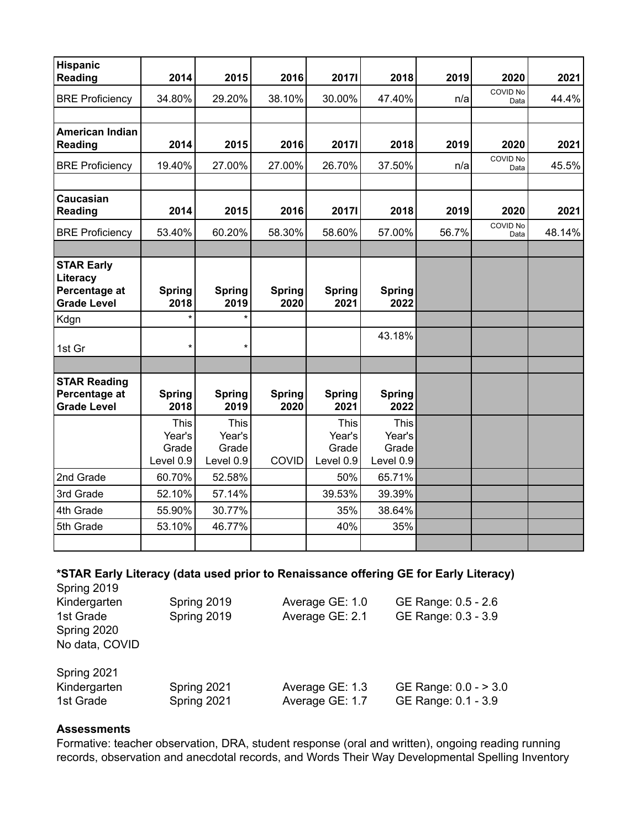| <b>Hispanic</b><br><b>Reading</b>                                    | 2014                                        | 2015                                 | 2016                  | <b>2017I</b>                                | 2018                                        | 2019  | 2020             | 2021   |
|----------------------------------------------------------------------|---------------------------------------------|--------------------------------------|-----------------------|---------------------------------------------|---------------------------------------------|-------|------------------|--------|
|                                                                      |                                             |                                      |                       |                                             |                                             |       | COVID No         |        |
| <b>BRE Proficiency</b>                                               | 34.80%                                      | 29.20%                               | 38.10%                | 30.00%                                      | 47.40%                                      | n/a   | Data             | 44.4%  |
| <b>American Indian</b>                                               |                                             |                                      |                       |                                             |                                             |       |                  |        |
| <b>Reading</b>                                                       | 2014                                        | 2015                                 | 2016                  | <b>2017I</b>                                | 2018                                        | 2019  | 2020             | 2021   |
| <b>BRE Proficiency</b>                                               | 19.40%                                      | 27.00%                               | 27.00%                | 26.70%                                      | 37.50%                                      | n/a   | COVID No<br>Data | 45.5%  |
|                                                                      |                                             |                                      |                       |                                             |                                             |       |                  |        |
| Caucasian<br><b>Reading</b>                                          | 2014                                        | 2015                                 | 2016                  | <b>2017I</b>                                | 2018                                        | 2019  | 2020             | 2021   |
| <b>BRE Proficiency</b>                                               | 53.40%                                      | 60.20%                               | 58.30%                | 58.60%                                      | 57.00%                                      | 56.7% | COVID No<br>Data | 48.14% |
|                                                                      |                                             |                                      |                       |                                             |                                             |       |                  |        |
| <b>STAR Early</b><br>Literacy<br>Percentage at<br><b>Grade Level</b> | <b>Spring</b><br>2018                       | <b>Spring</b><br>2019                | <b>Spring</b><br>2020 | <b>Spring</b><br>2021                       | <b>Spring</b><br>2022                       |       |                  |        |
| Kdgn                                                                 | $\star$                                     | $\star$                              |                       |                                             |                                             |       |                  |        |
| 1st Gr                                                               | $\star$                                     | $\star$                              |                       |                                             | 43.18%                                      |       |                  |        |
|                                                                      |                                             |                                      |                       |                                             |                                             |       |                  |        |
| <b>STAR Reading</b><br>Percentage at<br><b>Grade Level</b>           | <b>Spring</b><br>2018                       | <b>Spring</b><br>2019                | <b>Spring</b><br>2020 | <b>Spring</b><br>2021                       | <b>Spring</b><br>2022                       |       |                  |        |
|                                                                      | <b>This</b><br>Year's<br>Grade<br>Level 0.9 | This<br>Year's<br>Grade<br>Level 0.9 | <b>COVID</b>          | <b>This</b><br>Year's<br>Grade<br>Level 0.9 | <b>This</b><br>Year's<br>Grade<br>Level 0.9 |       |                  |        |
| 2nd Grade                                                            | 60.70%                                      | 52.58%                               |                       | 50%                                         | 65.71%                                      |       |                  |        |
| 3rd Grade                                                            | 52.10%                                      | 57.14%                               |                       | 39.53%                                      | 39.39%                                      |       |                  |        |
| 4th Grade                                                            | 55.90%                                      | 30.77%                               |                       | 35%                                         | 38.64%                                      |       |                  |        |
| 5th Grade                                                            | 53.10%                                      | 46.77%                               |                       | 40%                                         | 35%                                         |       |                  |        |
|                                                                      |                                             |                                      |                       |                                             |                                             |       |                  |        |

#### **\*STAR Early Literacy (data used prior to Renaissance offering GE for Early Literacy)** Spring 2019

| Kindergarten<br>1st Grade<br>Spring 2020<br>No data, COVID | Spring 2019<br>Spring 2019 | Average GE: 1.0<br>Average GE: 2.1 | GE Range: 0.5 - 2.6<br>GE Range: 0.3 - 3.9   |
|------------------------------------------------------------|----------------------------|------------------------------------|----------------------------------------------|
| Spring 2021<br>Kindergarten<br>1st Grade                   | Spring 2021<br>Spring 2021 | Average GE: 1.3<br>Average GE: 1.7 | GE Range: 0.0 - > 3.0<br>GE Range: 0.1 - 3.9 |

#### **Assessments**

Formative: teacher observation, DRA, student response (oral and written), ongoing reading running records, observation and anecdotal records, and Words Their Way Developmental Spelling Inventory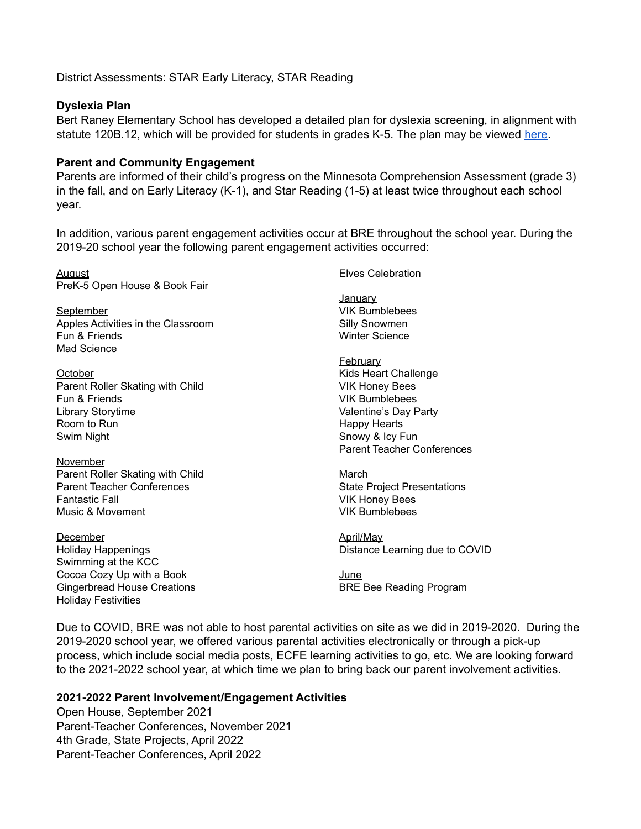District Assessments: STAR Early Literacy, STAR Reading

#### **Dyslexia Plan**

Bert Raney Elementary School has developed a detailed plan for dyslexia screening, in alignment with statute 120B.12, which will be provided for students in grades K-5. The plan may be viewed [here](https://docs.google.com/document/d/15M4HQVbm0_RqLLVRy97LMN9X4mHYIdZI7S-K09TogrY/edit?usp=sharing).

#### **Parent and Community Engagement**

Parents are informed of their child's progress on the Minnesota Comprehension Assessment (grade 3) in the fall, and on Early Literacy (K-1), and Star Reading (1-5) at least twice throughout each school year.

In addition, various parent engagement activities occur at BRE throughout the school year. During the 2019-20 school year the following parent engagement activities occurred:

**August** PreK-5 Open House & Book Fair

**September** Apples Activities in the Classroom Fun & Friends Mad Science

**October** Parent Roller Skating with Child Fun & Friends Library Storytime Room to Run Swim Night

**November** Parent Roller Skating with Child Parent Teacher Conferences Fantastic Fall Music & Movement

December Holiday Happenings Swimming at the KCC Cocoa Cozy Up with a Book Gingerbread House Creations Holiday Festivities

Elves Celebration

**January** VIK Bumblebees Silly Snowmen Winter Science

**February** Kids Heart Challenge VIK Honey Bees VIK Bumblebees Valentine's Day Party Happy Hearts Snowy & Icy Fun Parent Teacher Conferences

March State Project Presentations VIK Honey Bees VIK Bumblebees

April/May Distance Learning due to COVID

June BRE Bee Reading Program

Due to COVID, BRE was not able to host parental activities on site as we did in 2019-2020. During the 2019-2020 school year, we offered various parental activities electronically or through a pick-up process, which include social media posts, ECFE learning activities to go, etc. We are looking forward to the 2021-2022 school year, at which time we plan to bring back our parent involvement activities.

# **2021-2022 Parent Involvement/Engagement Activities**

Open House, September 2021 Parent-Teacher Conferences, November 2021 4th Grade, State Projects, April 2022 Parent-Teacher Conferences, April 2022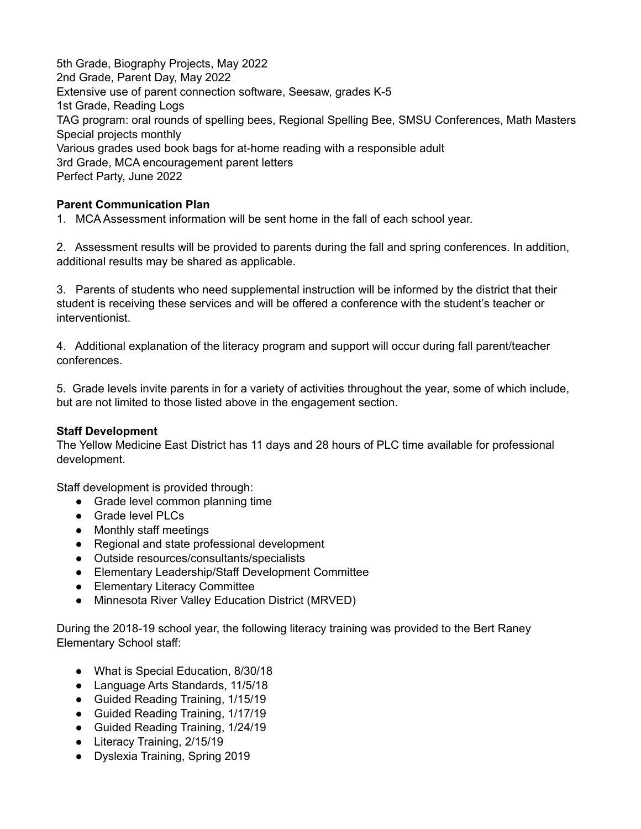5th Grade, Biography Projects, May 2022 2nd Grade, Parent Day, May 2022 Extensive use of parent connection software, Seesaw, grades K-5 1st Grade, Reading Logs TAG program: oral rounds of spelling bees, Regional Spelling Bee, SMSU Conferences, Math Masters Special projects monthly Various grades used book bags for at-home reading with a responsible adult 3rd Grade, MCA encouragement parent letters Perfect Party, June 2022

# **Parent Communication Plan**

1. MCA Assessment information will be sent home in the fall of each school year.

2. Assessment results will be provided to parents during the fall and spring conferences. In addition, additional results may be shared as applicable.

3. Parents of students who need supplemental instruction will be informed by the district that their student is receiving these services and will be offered a conference with the student's teacher or interventionist.

4. Additional explanation of the literacy program and support will occur during fall parent/teacher conferences.

5. Grade levels invite parents in for a variety of activities throughout the year, some of which include, but are not limited to those listed above in the engagement section.

# **Staff Development**

The Yellow Medicine East District has 11 days and 28 hours of PLC time available for professional development.

Staff development is provided through:

- Grade level common planning time
- Grade level PLCs
- Monthly staff meetings
- Regional and state professional development
- Outside resources/consultants/specialists
- Elementary Leadership/Staff Development Committee
- Elementary Literacy Committee
- Minnesota River Valley Education District (MRVED)

During the 2018-19 school year, the following literacy training was provided to the Bert Raney Elementary School staff:

- What is Special Education, 8/30/18
- Language Arts Standards, 11/5/18
- Guided Reading Training, 1/15/19
- Guided Reading Training, 1/17/19
- Guided Reading Training, 1/24/19
- Literacy Training, 2/15/19
- Dyslexia Training, Spring 2019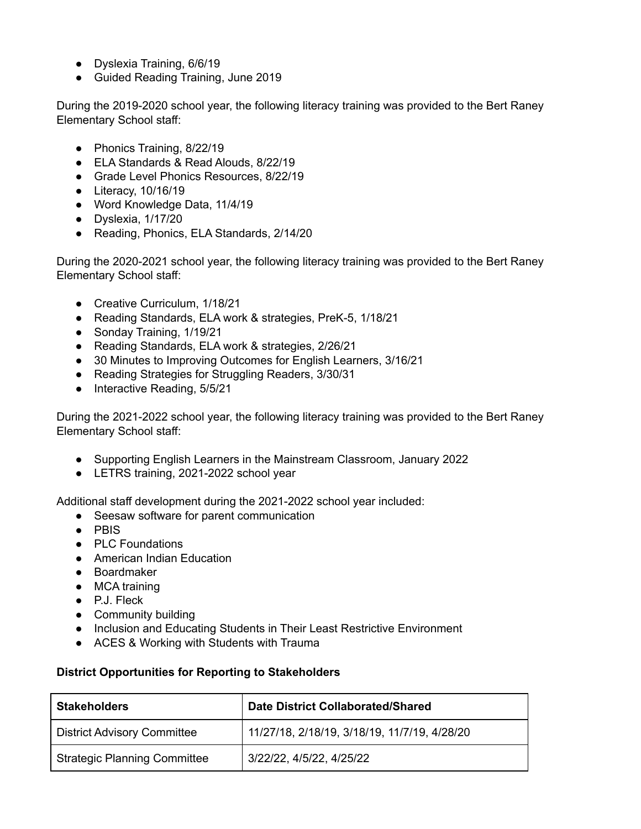- Dyslexia Training, 6/6/19
- Guided Reading Training, June 2019

During the 2019-2020 school year, the following literacy training was provided to the Bert Raney Elementary School staff:

- Phonics Training, 8/22/19
- ELA Standards & Read Alouds, 8/22/19
- Grade Level Phonics Resources, 8/22/19
- Literacy, 10/16/19
- Word Knowledge Data, 11/4/19
- Dyslexia, 1/17/20
- Reading, Phonics, ELA Standards, 2/14/20

During the 2020-2021 school year, the following literacy training was provided to the Bert Raney Elementary School staff:

- Creative Curriculum, 1/18/21
- Reading Standards, ELA work & strategies, PreK-5, 1/18/21
- Sonday Training, 1/19/21
- Reading Standards, ELA work & strategies, 2/26/21
- 30 Minutes to Improving Outcomes for English Learners, 3/16/21
- Reading Strategies for Struggling Readers, 3/30/31
- Interactive Reading, 5/5/21

During the 2021-2022 school year, the following literacy training was provided to the Bert Raney Elementary School staff:

- Supporting English Learners in the Mainstream Classroom, January 2022
- LETRS training, 2021-2022 school year

Additional staff development during the 2021-2022 school year included:

- Seesaw software for parent communication
- PBIS
- PLC Foundations
- American Indian Education
- Boardmaker
- MCA training
- P.J. Fleck
- Community building
- Inclusion and Educating Students in Their Least Restrictive Environment
- ACES & Working with Students with Trauma

# **District Opportunities for Reporting to Stakeholders**

| <b>Stakeholders</b>                 | <b>Date District Collaborated/Shared</b>     |  |  |
|-------------------------------------|----------------------------------------------|--|--|
| <b>District Advisory Committee</b>  | 11/27/18, 2/18/19, 3/18/19, 11/7/19, 4/28/20 |  |  |
| <b>Strategic Planning Committee</b> | 3/22/22, 4/5/22, 4/25/22                     |  |  |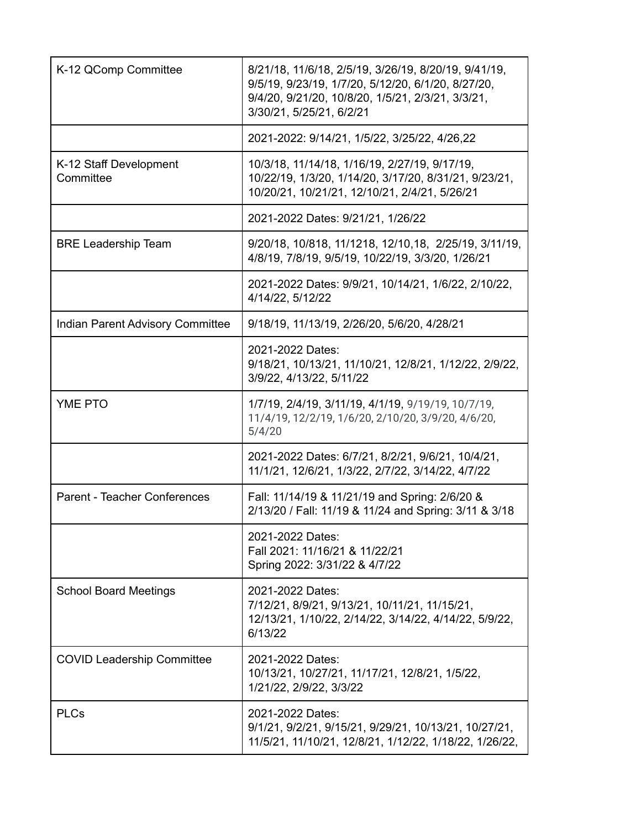| K-12 QComp Committee                    | 8/21/18, 11/6/18, 2/5/19, 3/26/19, 8/20/19, 9/41/19,<br>9/5/19, 9/23/19, 1/7/20, 5/12/20, 6/1/20, 8/27/20,<br>9/4/20, 9/21/20, 10/8/20, 1/5/21, 2/3/21, 3/3/21,<br>3/30/21, 5/25/21, 6/2/21 |
|-----------------------------------------|---------------------------------------------------------------------------------------------------------------------------------------------------------------------------------------------|
|                                         | 2021-2022: 9/14/21, 1/5/22, 3/25/22, 4/26,22                                                                                                                                                |
| K-12 Staff Development<br>Committee     | 10/3/18, 11/14/18, 1/16/19, 2/27/19, 9/17/19,<br>10/22/19, 1/3/20, 1/14/20, 3/17/20, 8/31/21, 9/23/21,<br>10/20/21, 10/21/21, 12/10/21, 2/4/21, 5/26/21                                     |
|                                         | 2021-2022 Dates: 9/21/21, 1/26/22                                                                                                                                                           |
| <b>BRE Leadership Team</b>              | 9/20/18, 10/818, 11/1218, 12/10, 18, 2/25/19, 3/11/19,<br>4/8/19, 7/8/19, 9/5/19, 10/22/19, 3/3/20, 1/26/21                                                                                 |
|                                         | 2021-2022 Dates: 9/9/21, 10/14/21, 1/6/22, 2/10/22,<br>4/14/22, 5/12/22                                                                                                                     |
| <b>Indian Parent Advisory Committee</b> | 9/18/19, 11/13/19, 2/26/20, 5/6/20, 4/28/21                                                                                                                                                 |
|                                         | 2021-2022 Dates:<br>9/18/21, 10/13/21, 11/10/21, 12/8/21, 1/12/22, 2/9/22,<br>3/9/22, 4/13/22, 5/11/22                                                                                      |
| <b>YME PTO</b>                          | 1/7/19, 2/4/19, 3/11/19, 4/1/19, 9/19/19, 10/7/19,<br>11/4/19, 12/2/19, 1/6/20, 2/10/20, 3/9/20, 4/6/20,<br>5/4/20                                                                          |
|                                         | 2021-2022 Dates: 6/7/21, 8/2/21, 9/6/21, 10/4/21,<br>11/1/21, 12/6/21, 1/3/22, 2/7/22, 3/14/22, 4/7/22                                                                                      |
| <b>Parent - Teacher Conferences</b>     | Fall: 11/14/19 & 11/21/19 and Spring: 2/6/20 &<br>2/13/20 / Fall: 11/19 & 11/24 and Spring: 3/11 & 3/18                                                                                     |
|                                         | 2021-2022 Dates:<br>Fall 2021: 11/16/21 & 11/22/21<br>Spring 2022: 3/31/22 & 4/7/22                                                                                                         |
| <b>School Board Meetings</b>            | 2021-2022 Dates:<br>7/12/21, 8/9/21, 9/13/21, 10/11/21, 11/15/21,<br>12/13/21, 1/10/22, 2/14/22, 3/14/22, 4/14/22, 5/9/22,<br>6/13/22                                                       |
| <b>COVID Leadership Committee</b>       | 2021-2022 Dates:<br>10/13/21, 10/27/21, 11/17/21, 12/8/21, 1/5/22,<br>1/21/22, 2/9/22, 3/3/22                                                                                               |
| <b>PLCs</b>                             | 2021-2022 Dates:<br>9/1/21, 9/2/21, 9/15/21, 9/29/21, 10/13/21, 10/27/21,<br>11/5/21, 11/10/21, 12/8/21, 1/12/22, 1/18/22, 1/26/22,                                                         |